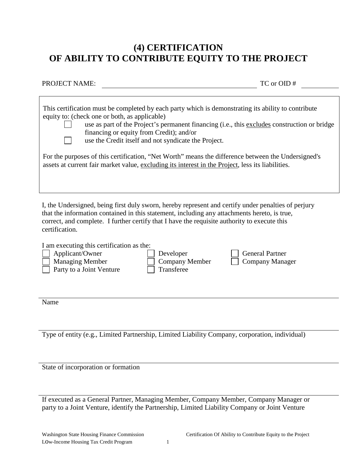## **(4) CERTIFICATION OF ABILITY TO CONTRIBUTE EQUITY TO THE PROJECT**

PROJECT NAME: TC or OID #

| This certification must be completed by each party which is demonstrating its ability to contribute<br>equity to: (check one or both, as applicable)<br>use as part of the Project's permanent financing (i.e., this excludes construction or bridge<br>financing or equity from Credit); and/or<br>use the Credit itself and not syndicate the Project. |
|----------------------------------------------------------------------------------------------------------------------------------------------------------------------------------------------------------------------------------------------------------------------------------------------------------------------------------------------------------|
| For the purposes of this certification, "Net Worth" means the difference between the Undersigned's<br>assets at current fair market value, excluding its interest in the Project, less its liabilities.                                                                                                                                                  |
|                                                                                                                                                                                                                                                                                                                                                          |

I, the Undersigned, being first duly sworn, hereby represent and certify under penalties of perjury that the information contained in this statement, including any attachments hereto, is true, correct, and complete. I further certify that I have the requisite authority to execute this certification.

| I am executing this certification as the: |                        |                        |
|-------------------------------------------|------------------------|------------------------|
| Applicant/Owner                           | Developer              | $\Box$ General Partner |
| <b>Managing Member</b>                    | $\vert$ Company Member | Company Manager        |
| Party to a Joint Venture                  | Transferee             |                        |
|                                           |                        |                        |

Name

Type of entity (e.g., Limited Partnership, Limited Liability Company, corporation, individual)

State of incorporation or formation

If executed as a General Partner, Managing Member, Company Member, Company Manager or party to a Joint Venture, identify the Partnership, Limited Liability Company or Joint Venture